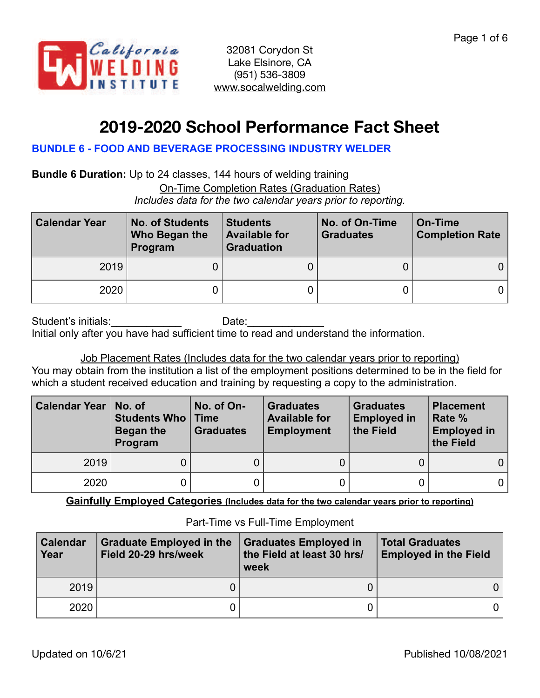

# **2019-2020 School Performance Fact Sheet**

## **BUNDLE 6 - FOOD AND BEVERAGE PROCESSING INDUSTRY WELDER**

**Bundle 6 Duration:** Up to 24 classes, 144 hours of welding training On-Time Completion Rates (Graduation Rates) *Includes data for the two calendar years prior to reporting.*

| <b>Calendar Year</b> | <b>No. of Students</b><br>Who Began the<br>Program | <b>Students</b><br><b>Available for</b><br><b>Graduation</b> | No. of On-Time<br><b>Graduates</b> | On-Time<br><b>Completion Rate</b> |
|----------------------|----------------------------------------------------|--------------------------------------------------------------|------------------------------------|-----------------------------------|
| 2019                 |                                                    |                                                              |                                    |                                   |
| 2020                 |                                                    |                                                              |                                    | 0 I                               |

| Student's initials: |  | Date: |  |                                                                                         |
|---------------------|--|-------|--|-----------------------------------------------------------------------------------------|
|                     |  |       |  | Initial only after you have had sufficient time to read and understand the information. |

Job Placement Rates (Includes data for the two calendar years prior to reporting) You may obtain from the institution a list of the employment positions determined to be in the field for which a student received education and training by requesting a copy to the administration.

| <b>Calendar Year</b> | No. of<br><b>Students Who   Time</b><br>Began the<br>Program | No. of On-<br><b>Graduates</b> | <b>Graduates</b><br><b>Available for</b><br><b>Employment</b> | <b>Graduates</b><br><b>Employed in</b><br>the Field | <b>Placement</b><br>Rate %<br><b>Employed in</b><br>the Field |
|----------------------|--------------------------------------------------------------|--------------------------------|---------------------------------------------------------------|-----------------------------------------------------|---------------------------------------------------------------|
| 2019                 |                                                              |                                |                                                               |                                                     |                                                               |
| 2020                 |                                                              |                                |                                                               |                                                     |                                                               |

**Gainfully Employed Categories (Includes data for the two calendar years prior to reporting)**

#### **Calendar Year Graduate Employed in the Field 20-29 hrs/week Graduates Employed in the Field at least 30 hrs/ week Total Graduates Employed in the Field** 2019 0 0 0 2020 0 0 0

#### Part-Time vs Full-Time Employment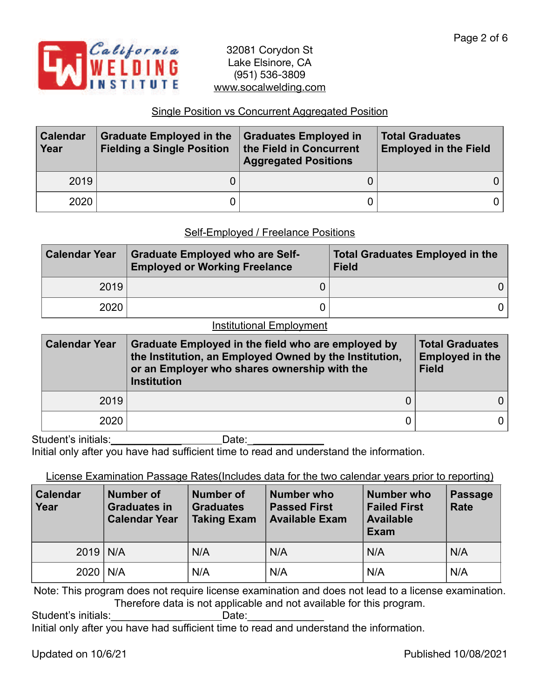

# Single Position vs Concurrent Aggregated Position

| <b>Calendar</b><br>Year | <b>Graduate Employed in the</b><br><b>Fielding a Single Position</b> | <b>Graduates Employed in</b><br>the Field in Concurrent<br><b>Aggregated Positions</b> | <b>Total Graduates</b><br><b>Employed in the Field</b> |
|-------------------------|----------------------------------------------------------------------|----------------------------------------------------------------------------------------|--------------------------------------------------------|
| 2019                    |                                                                      |                                                                                        |                                                        |
| 2020                    |                                                                      |                                                                                        |                                                        |

#### Self-Employed / Freelance Positions

| <b>Calendar Year</b> | <b>Graduate Employed who are Self-</b><br><b>Employed or Working Freelance</b> | <b>Total Graduates Employed in the</b><br><b>Field</b> |
|----------------------|--------------------------------------------------------------------------------|--------------------------------------------------------|
| 2019                 |                                                                                | 0 I                                                    |
| 2020                 |                                                                                | 0 I                                                    |

#### Institutional Employment

| <b>Calendar Year</b> | Graduate Employed in the field who are employed by<br>the Institution, an Employed Owned by the Institution,<br>or an Employer who shares ownership with the<br><b>Institution</b> | <b>Total Graduates</b><br><b>Employed in the</b><br><b>Field</b> |  |
|----------------------|------------------------------------------------------------------------------------------------------------------------------------------------------------------------------------|------------------------------------------------------------------|--|
| 2019                 |                                                                                                                                                                                    |                                                                  |  |
| 2020                 |                                                                                                                                                                                    |                                                                  |  |

Student's initials: \_\_\_\_\_\_\_\_\_\_\_\_\_\_\_\_\_\_\_\_\_\_\_\_\_\_\_\_\_\_Date: \_\_\_\_\_\_\_\_\_\_\_\_\_\_\_\_\_\_\_\_\_\_\_\_

Initial only after you have had sufficient time to read and understand the information.

#### License Examination Passage Rates(Includes data for the two calendar years prior to reporting)

| <b>Calendar</b><br>Year | Number of<br><b>Graduates in</b><br><b>Calendar Year</b> | <b>Number of</b><br><b>Graduates</b><br><b>Taking Exam</b> | Number who<br><b>Passed First</b><br><b>Available Exam</b> | <b>Number who</b><br><b>Failed First</b><br><b>Available</b><br>Exam | <b>Passage</b><br><b>Rate</b> |
|-------------------------|----------------------------------------------------------|------------------------------------------------------------|------------------------------------------------------------|----------------------------------------------------------------------|-------------------------------|
| $2019$ N/A              |                                                          | N/A                                                        | N/A                                                        | N/A                                                                  | N/A                           |
| 2020                    | N/A                                                      | N/A                                                        | N/A                                                        | N/A                                                                  | N/A                           |

Note: This program does not require license examination and does not lead to a license examination. Therefore data is not applicable and not available for this program.

Student's initials: example and Date:

Initial only after you have had sufficient time to read and understand the information.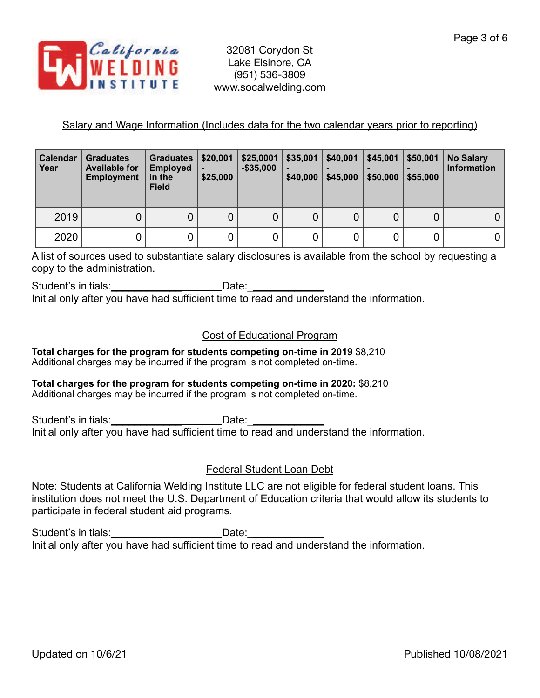

# Salary and Wage Information (Includes data for the two calendar years prior to reporting)

| <b>Calendar</b><br>Year | <b>Graduates</b><br><b>Available for</b><br><b>Employment</b> | <b>Graduates</b><br><b>Employed</b><br>in the<br><b>Field</b> | \$20,001<br>\$25,000 | \$25,0001<br>$-$ \$35,000 | \$35,001<br>٠<br>\$40,000 | \$40,001<br>\$45,000 | \$45,001<br>\$50,000 | \$50,001<br>\$55,000 | <b>No Salary</b><br><b>Information</b> |
|-------------------------|---------------------------------------------------------------|---------------------------------------------------------------|----------------------|---------------------------|---------------------------|----------------------|----------------------|----------------------|----------------------------------------|
| 2019                    |                                                               |                                                               | 0                    | 0                         | 0                         | 0                    | 0                    |                      |                                        |
| 2020                    |                                                               |                                                               |                      |                           |                           |                      | 0                    |                      |                                        |

A list of sources used to substantiate salary disclosures is available from the school by requesting a copy to the administration.

Student's initials: example of the Date: Initial only after you have had sufficient time to read and understand the information.

# Cost of Educational Program

**Total charges for the program for students competing on-time in 2019** \$8,210 Additional charges may be incurred if the program is not completed on-time.

#### **Total charges for the program for students competing on-time in 2020:** \$8,210 Additional charges may be incurred if the program is not completed on-time.

Student's initials: example and Date: Initial only after you have had sufficient time to read and understand the information.

# Federal Student Loan Debt

Note: Students at California Welding Institute LLC are not eligible for federal student loans. This institution does not meet the U.S. Department of Education criteria that would allow its students to participate in federal student aid programs.

Student's initials:\_\_\_\_\_\_\_\_\_\_\_\_\_\_\_\_\_\_\_\_\_\_\_\_Date:\_\_ Initial only after you have had sufficient time to read and understand the information.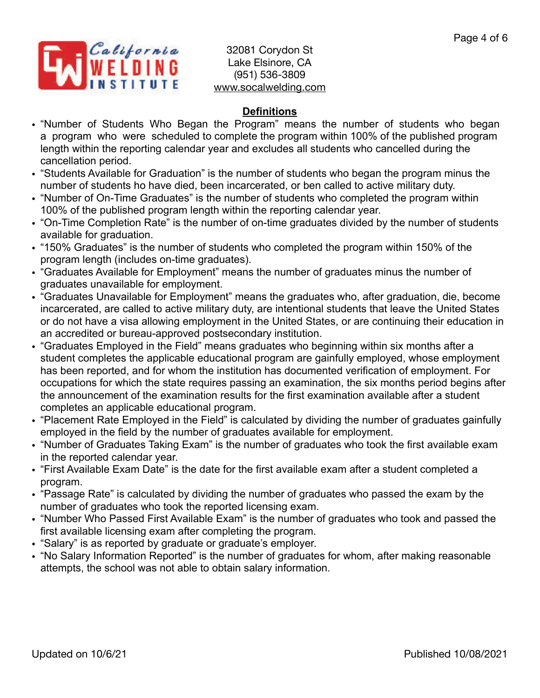

# **Definitions**

- "Number of Students Who Began the Program" means the number of students who began a program who were scheduled to complete the program within 100% of the published program length within the reporting calendar year and excludes all students who cancelled during the cancellation period.
- "Students Available for Graduation" is the number of students who began the program minus the number of students ho have died, been incarcerated, or ben called to active military duty.
- "Number of On-Time Graduates" is the number of students who completed the program within 100% of the published program length within the reporting calendar year.
- "On-Time Completion Rate" is the number of on-time graduates divided by the number of students available for graduation.
- "150% Graduates" is the number of students who completed the program within 150% of the program length (includes on-time graduates).
- "Graduates Available for Employment" means the number of graduates minus the number of graduates unavailable for employment.
- "Graduates Unavailable for Employment" means the graduates who, after graduation, die, become incarcerated, are called to active military duty, are intentional students that leave the United States or do not have a visa allowing employment in the United States, or are continuing their education in an accredited or bureau-approved postsecondary institution.
- "Graduates Employed in the Field" means graduates who beginning within six months after a student completes the applicable educational program are gainfully employed, whose employment has been reported, and for whom the institution has documented verification of employment. For occupations for which the state requires passing an examination, the six months period begins after the announcement of the examination results for the first examination available after a student completes an applicable educational program.
- "Placement Rate Employed in the Field" is calculated by dividing the number of graduates gainfully employed in the field by the number of graduates available for employment.
- "Number of Graduates Taking Exam" is the number of graduates who took the first available exam in the reported calendar year.
- "First Available Exam Date" is the date for the first available exam after a student completed a program.
- "Passage Rate" is calculated by dividing the number of graduates who passed the exam by the number of graduates who took the reported licensing exam.
- "Number Who Passed First Available Exam" is the number of graduates who took and passed the first available licensing exam after completing the program.
- "Salary" is as reported by graduate or graduate's employer.
- "No Salary Information Reported" is the number of graduates for whom, after making reasonable attempts, the school was not able to obtain salary information.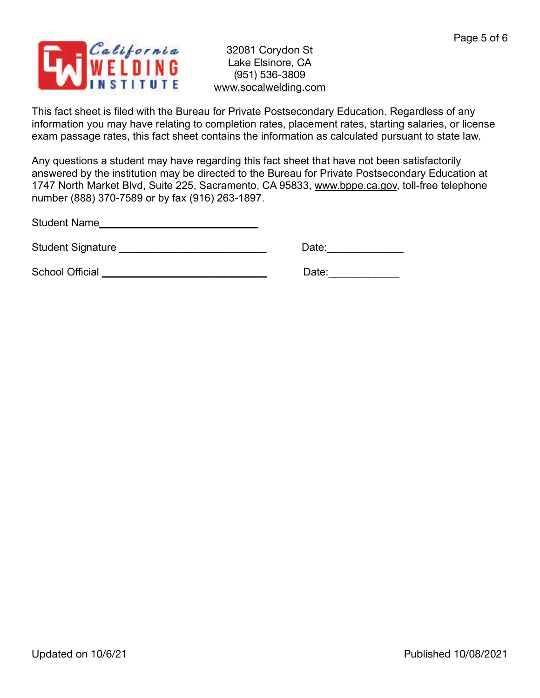

This fact sheet is filed with the Bureau for Private Postsecondary Education. Regardless of any information you may have relating to completion rates, placement rates, starting salaries, or license exam passage rates, this fact sheet contains the information as calculated pursuant to state law.

Any questions a student may have regarding this fact sheet that have not been satisfactorily answered by the institution may be directed to the Bureau for Private Postsecondary Education at 1747 North Market Blvd, Suite 225, Sacramento, CA 95833, [www.bppe.ca.gov](http://www.bppe.ca.gov), toll-free telephone number (888) 370-7589 or by fax (916) 263-1897.

Student Name\_\_\_\_\_\_\_\_\_\_\_\_\_\_\_\_\_\_\_\_\_\_\_\_\_\_\_

Student Signature \_\_\_\_\_\_\_\_\_\_\_\_\_\_\_\_\_\_\_\_\_\_\_\_\_ Date:\_\_\_\_\_\_\_\_\_\_\_\_\_

School Official \_\_\_\_\_\_\_\_\_\_\_\_\_\_\_\_\_\_\_\_\_\_\_\_\_\_\_\_ Date:\_\_\_\_\_\_\_\_\_\_\_\_